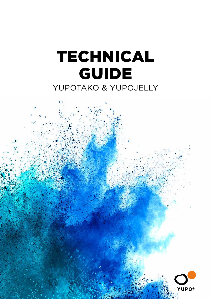# TECHNICAL GUIDE YUPOTAKO & YUPOJELLY

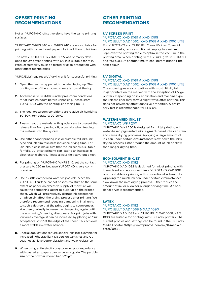# **OFFSET PRINTING RECOMMENDATIONS**

Not all YUPOTAKO offset versions have the same printing surfaces.

YUPOTAKO WKFS 340 and WKFS 240 are also suitable for printing with conventional paper inks in addition to foil inks.

The new YUPOTAKO Flex XAD 1095 was primarily developed for UV offset printing with UV inks suitable for foils. Product suitability must be tested prior to production with other offset technologies.

YUPOJELLY requires a UV drving unit for successful printing.

- **1.** Open the ream wrapper with the label facing up. The printing side of the exposed sheets is now at the top.
- **2.** Acclimatise YUPOTAKO under pressroom conditions for at least 24 hours before unpacking. Please store YUPOTAKO with the printing side facing up (!).
- **3.** The ideal pressroom conditions are relative air humidity: 50-60%, temperature: 20-25°C.
- **4.** Please treat the material with special care to prevent the release liner from peeling off, especially when feeding the material into the system.
- **5.** Use either paper printing inks or suitable foil inks. Ink type and ink film thickness influence drying time. For UV inks, please make sure that the ink series is suitable for foils. UV offset printing can lead to an increase in electrostatic charge. Please always first carry out a test.
- **6.** For printing on YUPOTAKO WKFS 340, set the contact pressure to 250 m, because YUPOTAKO is very compressible.
- **7.** Use as little dampening water as possible. Since the YUPOTAKO surface cannot absorb moisture to the same extent as paper, an excessive supply of moisture will cause the dampening agent to build up on the printed sheet, which will progressively disrupt ink acceptance or adversely affect the drying process after printing. We therefore recommend reducing dampening in all units to such a degree that the print begins to scum/smear. You then gradually increase the dampening again until the scumming/smearing disappears. For print jobs with low area coverage, it can be increased by placing an "ink acceptance strip" at the edge of the sheet. This achieves a more stable ink-water balance.
- **8.** Special applications require special inks (for example for increased light stability). Dispersion varnishes and UV coatings achieve better abrasion and wear resistance.
- **9.** When using anti-set-off spray powder, your experience with coated art papers can serve as a guide. The particle size of the powder should be 15-25 um.

# **OTHER PRINTING RECOMMENDATIONS**

## **UV SCREEN PRINT**

## YUPOTAKO XAD 1069 & XAD 1095 YUPOJELLY XAD 1062, XAD 1068 & XAD 1090 LITE

For YUPOTAKO and YUPOJELLY, use UV inks. To avoid pressure marks, reduce suction air supply to a minimum. Tape over the printing table to optimise the vacuum in the printing area. When printing with UV inks, give YUPOTAKO and YUPOJELLY enough time to cool before printing the next colour.

# **UV DIGITAL**

#### YUPOTAKO XAD 1069 & XAD 1095 YUPOJELLY XAD 1062, XAD 1068 & XAD 1090 LITE

The above types are compatible with most UV digital inkjet printers on the market, with the exception of UV gel printers. Depending on ink application and machine type, the release liner may form a slight wave after printing. This does not adversely affect adhesive properties. A preliminary test is recommended for LED UV.

# **WATER-BASED INKJET**

## YUPOTAKO WKJ 250

YUPOTAKO WKJ 250 is designed for inkjet printing with water-based pigmented inks. Pigment-based inks can stain and cause drying problems. Applying a large amount of ink can under certain circumstances slow down the ink's drying process. Either reduce the amount of ink or allow for a longer drying time.

#### **ECO-SOLVENT INKJET** YUPOTAKO XAD 1082

YUPOTAKO XAD 1082 is designed for inkjet printing with low-solvent and eco-solvent inks. YUPOTAKO XAD 1082 is not suitable for printing with conventional solvent inks. Applying too much ink can under certain circumstances slow down the ink's drying process. Either reduce the amount of ink or allow for a longer drying time. An additional dryer is recommended.

## **LATEX** YUPOTAKO XAD 1082 YUPOJELLY XAD 1068 & XAD 1090

YUPOTAKO XAD 1082 and YUPOJELLY XAD 1068, XAD 1090 are suitable for printing with HP Latex printers. The current profiles and settings can be found in the HP Latex Media Locator (https://www.printos. com/ml/#/medialocator/latex).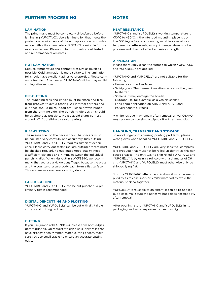# **FURTHER PROCESSING**

## **LAMINATION**

The print image must be completely dried/cured before laminating YUPOTAKO. Use a laminate foil that meets the protection requirements of the end application. In combination with a floor laminate YUPOTAKO is suitable for use as a floor banner. Please contact us to ask about tested and recommended laminates.

## **HOT LAMINATION**

Reduce temperature and contact pressure as much as possible. Cold lamination is more suitable. The lamination foil should have excellent adhesive properties. Please carry out a test first. A laminated YUPOTAKO sticker may exhibit curling after removal.

## **DIE-CUTTING**

The punching dies and knives must be sharp and free from grooves to avoid tearing. All internal corners and cut ends should be rounded off. Please always punch from the printing side. The punching die design should be as simple as possible. Please avoid sharp corners (round off if possible) to avoid tearing.

### **KISS-CUTTING**

The release liner on the back is thin. The spacers must be adjusted very carefully and accurately. Kiss-cutting YUPOTAKO and YUPOJELLY requires sufficient experience. Please carry out tests first. kiss-cutting process must be checked regularly to guarantee good quality. Keep a sufficient distance (> 3-4 mm) between the individual punching dies. When kiss-cutting WKFS340, we recommend that you use a Heidelberg Tiegel, because the press and the counter-pressure body each form a flat surface. This ensures more accurate cutting depths.

#### **LASER-CUTTING**

YUPOTAKO and YUPOJELLY can be cut punched. A preliminary test is recommended.

#### **DIGITAL DIE-CUTTING AND PLOTTING**

YUPOTAKO and YUPOJELLY can be cut with digital die cutters and cutting plotters.

#### **CUTTING**

If you use jumbo rolls (~ 300 m), please trim both edges before printing. On request we can also supply rolls that have already been trimmed. When cutting sheets, make sure you use small stacks to ensure an accurate cutting edge.

# **NOTES**

#### **HEAT RESISTANCE**

YUPOTAKO's and YUPOJELLY's working temperature is -30°C to +60°C. If the intended mounting place is below 0°C (eg. a freezer) mounting must be done at room temperature. Afterwards, a drop in temperature is not a problem and does not affect adhesive strength.

#### **APPLICATION**

Please thoroughly clean the surface to which YUPOTAKO and YUPOJELLY are applied.

YUPOTAKO and YUPOJELLY are not suitable for the following:

- Uneven or curved surfaces.
- Safety glass. The thermal insulation can cause the glass to shatter.
- Screens. It may damage the screen.
- Outdoor use, for example, as a vehicle sticker.
- Long-term application on ABS, Acrylic, PVC and Polycarbonate surfaces.

A white residue may remain after removal of YUPOTAKO. Any residue can be simply wiped off with a damp cloth.

#### **HANDLING, TRANSPORT AND STORAGE**

To avoid fingerprints causing printing problems, please wear gloves when handling YUPOTAKO and YUPOJELLY.

YUPOTAKO and YUPOJELLY are very sensitive, compressible products that must not be rolled up tightly, as this can cause creases. The only way to ship rolled YUPOTAKO and YUPOJELLY is by using a roll core with a diameter of 7.6 cm. YUPOTAKO and YUPOJELLY must otherwise only be shipped lying flat.

To store YUPOTAKO after an application, it must be reapplied to its release liner (or similar material) to avoid the material sticking together.

YUPOJELLY is reusable to an extent. It can be re-applied, but please make sure the adhesive back does not get dirty after removal.

After opening, store YUPOTAKO and YUPOJELLY in its packaging and avoid exposure to direct sunlight.